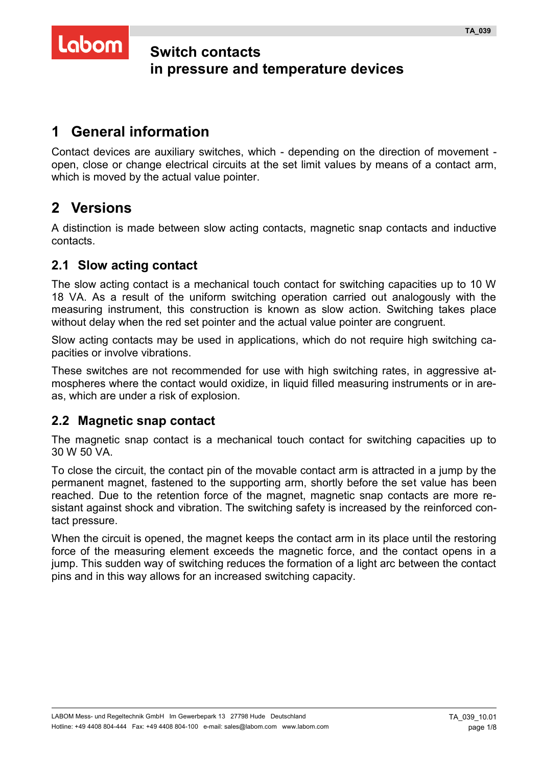# Labom

# **Switch contacts in pressure and temperature devices**

# **1 General information**

Contact devices are auxiliary switches, which - depending on the direction of movement open, close or change electrical circuits at the set limit values by means of a contact arm, which is moved by the actual value pointer.

# **2 Versions**

A distinction is made between slow acting contacts, magnetic snap contacts and inductive contacts.

# **2.1 Slow acting contact**

The slow acting contact is a mechanical touch contact for switching capacities up to 10 W 18 VA. As a result of the uniform switching operation carried out analogously with the measuring instrument, this construction is known as slow action. Switching takes place without delay when the red set pointer and the actual value pointer are congruent.

Slow acting contacts may be used in applications, which do not require high switching capacities or involve vibrations.

These switches are not recommended for use with high switching rates, in aggressive atmospheres where the contact would oxidize, in liquid filled measuring instruments or in areas, which are under a risk of explosion.

# **2.2 Magnetic snap contact**

The magnetic snap contact is a mechanical touch contact for switching capacities up to 30 W 50 VA.

To close the circuit, the contact pin of the movable contact arm is attracted in a jump by the permanent magnet, fastened to the supporting arm, shortly before the set value has been reached. Due to the retention force of the magnet, magnetic snap contacts are more resistant against shock and vibration. The switching safety is increased by the reinforced contact pressure.

When the circuit is opened, the magnet keeps the contact arm in its place until the restoring force of the measuring element exceeds the magnetic force, and the contact opens in a jump. This sudden way of switching reduces the formation of a light arc between the contact pins and in this way allows for an increased switching capacity.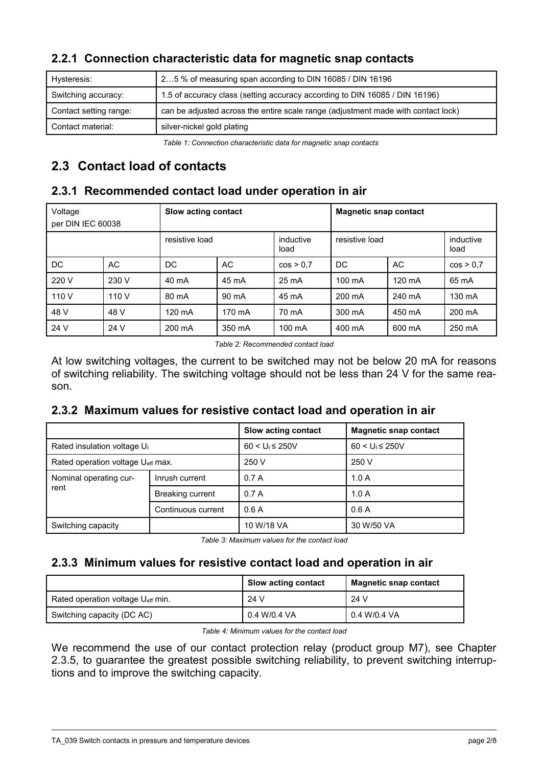|  |  | 2.2.1 Connection characteristic data for magnetic snap contacts |  |  |  |
|--|--|-----------------------------------------------------------------|--|--|--|
|--|--|-----------------------------------------------------------------|--|--|--|

| can be adjusted across the entire scale range (adjustment made with contact lock) |
|-----------------------------------------------------------------------------------|
|                                                                                   |
|                                                                                   |

*Table 1: Connection characteristic data for magnetic snap contacts*

# **2.3 Contact load of contacts**

# **2.3.1 Recommended contact load under operation in air**

| Voltage<br>per DIN IEC 60038 | Slow acting contact<br><b>Magnetic snap contact</b> |                |        |                   |                  |                  |                   |
|------------------------------|-----------------------------------------------------|----------------|--------|-------------------|------------------|------------------|-------------------|
|                              |                                                     | resistive load |        | inductive<br>load | resistive load   |                  | inductive<br>load |
| DC.                          | AC                                                  | DC.            | AC     | cos > 0.7         | DC               | AC               | cos > 0.7         |
| 220 V                        | 230 V                                               | 40 mA          | 45 mA  | 25 mA             | $100 \text{ mA}$ | $120 \text{ mA}$ | 65 mA             |
| 110 V                        | 110 V                                               | 80 mA          | 90 mA  | 45 mA             | 200 mA           | 240 mA           | 130 mA            |
| 48 V                         | 48 V                                                | 120 mA         | 170 mA | 70 mA             | 300 mA           | 450 mA           | 200 mA            |
| 24 V                         | 24 V                                                | 200 mA         | 350 mA | $100 \text{ mA}$  | 400 mA           | 600 mA           | 250 mA            |

*Table 2: Recommended contact load*

At low switching voltages, the current to be switched may not be below 20 mA for reasons of switching reliability. The switching voltage should not be less than 24 V for the same reason.

# **2.3.2 Maximum values for resistive contact load and operation in air**

|                                               |                         | Slow acting contact | <b>Magnetic snap contact</b> |
|-----------------------------------------------|-------------------------|---------------------|------------------------------|
| Rated insulation voltage U <sub>1</sub>       |                         | $60 < U_1 \le 250V$ | $60 < U_1 \le 250V$          |
| Rated operation voltage U <sub>eff</sub> max. |                         | 250 V               | 250 V                        |
| Nominal operating cur-                        | Inrush current          | 0.7A                | 1.0A                         |
| rent                                          | <b>Breaking current</b> | 0.7A                | 1.0A                         |
|                                               | Continuous current      | 0.6A                | 0.6A                         |
| Switching capacity                            |                         | 10 W/18 VA          | 30 W/50 VA                   |

*Table 3: Maximum values for the contact load*

# **2.3.3 Minimum values for resistive contact load and operation in air**

|                                   | <b>Slow acting contact</b> | <b>Magnetic snap contact</b> |
|-----------------------------------|----------------------------|------------------------------|
| Rated operation voltage Ueff min. | 24 V                       | 24 V                         |
| Switching capacity (DC AC)        | 0.4 W/0.4 VA               | 0.4 W/0.4 VA                 |

*Table 4: Minimum values for the contact load*

We recommend the use of our contact protection relay (product group M7), see Chapter [2.3.5,](#page-2-0) to guarantee the greatest possible switching reliability, to prevent switching interruptions and to improve the switching capacity.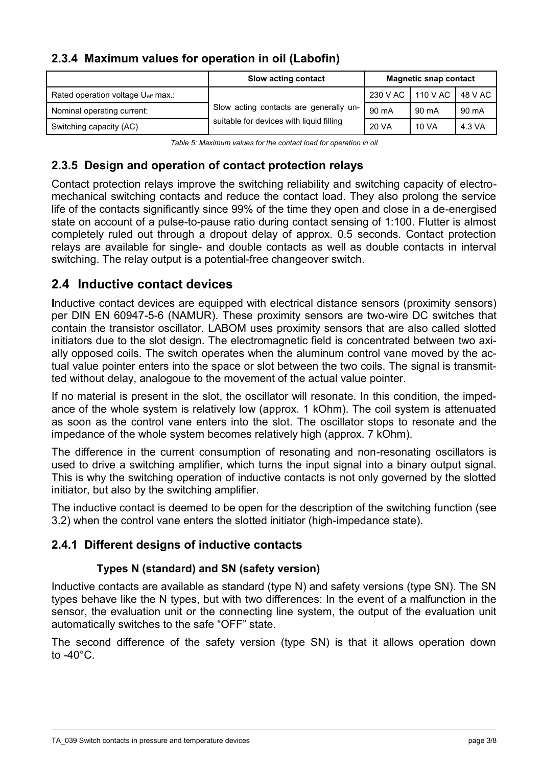### **2.3.4 Maximum values for operation in oil (Labofin)**

|                                    | Slow acting contact                      | <b>Magnetic snap contact</b> |                     |         |
|------------------------------------|------------------------------------------|------------------------------|---------------------|---------|
| Rated operation voltage Ueff max.: |                                          |                              | 230 V AC   110 V AC | 48 V AC |
| Nominal operating current:         | Slow acting contacts are generally un-   | 90 mA                        | 90 mA               | 90 mA   |
| Switching capacity (AC)            | suitable for devices with liquid filling | 20 VA                        | 10 VA               | 4.3 VA  |

*Table 5: Maximum values for the contact load for operation in oil*

# <span id="page-2-0"></span>**2.3.5 Design and operation of contact protection relays**

Contact protection relays improve the switching reliability and switching capacity of electromechanical switching contacts and reduce the contact load. They also prolong the service life of the contacts significantly since 99% of the time they open and close in a de-energised state on account of a pulse-to-pause ratio during contact sensing of 1:100. Flutter is almost completely ruled out through a dropout delay of approx. 0.5 seconds. Contact protection relays are available for single- and double contacts as well as double contacts in interval switching. The relay output is a potential-free changeover switch.

### **2.4 Inductive contact devices**

**I**nductive contact devices are equipped with electrical distance sensors (proximity sensors) per DIN EN 60947-5-6 (NAMUR). These proximity sensors are two-wire DC switches that contain the transistor oscillator. LABOM uses proximity sensors that are also called slotted initiators due to the slot design. The electromagnetic field is concentrated between two axially opposed coils. The switch operates when the aluminum control vane moved by the actual value pointer enters into the space or slot between the two coils. The signal is transmitted without delay, analogoue to the movement of the actual value pointer.

If no material is present in the slot, the oscillator will resonate. In this condition, the impedance of the whole system is relatively low (approx. 1 kOhm). The coil system is attenuated as soon as the control vane enters into the slot. The oscillator stops to resonate and the impedance of the whole system becomes relatively high (approx. 7 kOhm).

The difference in the current consumption of resonating and non-resonating oscillators is used to drive a switching amplifier, which turns the input signal into a binary output signal. This is why the switching operation of inductive contacts is not only governed by the slotted initiator, but also by the switching amplifier.

The inductive contact is deemed to be open for the description of the switching function (see [3.2\)](#page-4-0) when the control vane enters the slotted initiator (high-impedance state).

### **2.4.1 Different designs of inductive contacts**

### **Types N (standard) and SN (safety version)**

Inductive contacts are available as standard (type N) and safety versions (type SN). The SN types behave like the N types, but with two differences: In the event of a malfunction in the sensor, the evaluation unit or the connecting line system, the output of the evaluation unit automatically switches to the safe "OFF" state.

The second difference of the safety version (type SN) is that it allows operation down to  $-40^{\circ}$ C.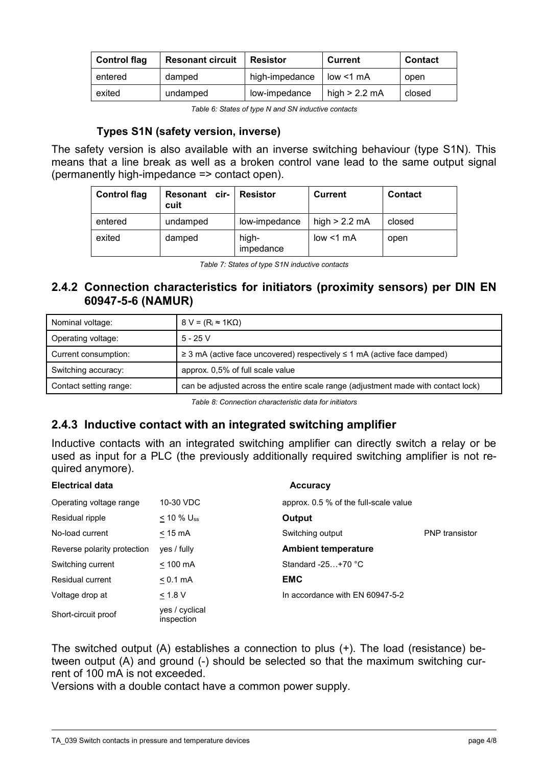| <b>Control flag</b> | <b>Resonant circuit</b> | <b>Resistor</b> | <b>Current</b>  | <b>Contact</b> |
|---------------------|-------------------------|-----------------|-----------------|----------------|
| entered             | damped                  | high-impedance  | low < 1 mA      | open           |
| exited              | undamped                | low-impedance   | high $> 2.2$ mA | closed         |

*Table 6: States of type N and SN inductive contacts*

#### **Types S1N (safety version, inverse)**

The safety version is also available with an inverse switching behaviour (type S1N). This means that a line break as well as a broken control vane lead to the same output signal (permanently high-impedance => contact open).

| <b>Control flag</b> | <b>Resonant cir-</b><br>cuit | <b>Resistor</b>    | Current         | <b>Contact</b> |
|---------------------|------------------------------|--------------------|-----------------|----------------|
| entered             | undamped                     | low-impedance      | high $> 2.2$ mA | closed         |
| exited              | damped                       | high-<br>impedance | low < 1 mA      | open           |

*Table 7: States of type S1N inductive contacts*

### **2.4.2 Connection characteristics for initiators (proximity sensors) per DIN EN 60947-5-6 (NAMUR)**

| Nominal voltage:       | $8 V = (R_i \approx 1 K \Omega)$                                                  |
|------------------------|-----------------------------------------------------------------------------------|
| Operating voltage:     | $5 - 25V$                                                                         |
| Current consumption:   | $\geq$ 3 mA (active face uncovered) respectively $\leq$ 1 mA (active face damped) |
| Switching accuracy:    | approx. 0,5% of full scale value                                                  |
| Contact setting range: | can be adjusted across the entire scale range (adjustment made with contact lock) |

*Table 8: Connection characteristic data for initiators*

### **2.4.3 Inductive contact with an integrated switching amplifier**

Inductive contacts with an integrated switching amplifier can directly switch a relay or be used as input for a PLC (the previously additionally required switching amplifier is not required anymore).

#### **Electrical data** Accuracy

| Operating voltage range     | 10-30 VDC                    | approx. 0.5 % of the full-scale value |                       |
|-----------------------------|------------------------------|---------------------------------------|-----------------------|
| Residual ripple             | $< 10 \%$ U <sub>ss</sub>    | Output                                |                       |
| No-load current             | $< 15 \text{ mA}$            | Switching output                      | <b>PNP</b> transistor |
| Reverse polarity protection | yes / fully                  | <b>Ambient temperature</b>            |                       |
| Switching current           | $< 100$ mA                   | Standard $-25+70$ °C                  |                       |
| <b>Residual current</b>     | $< 0.1$ mA                   | <b>EMC</b>                            |                       |
| Voltage drop at             | < 1.8 V                      | In accordance with EN 60947-5-2       |                       |
| Short-circuit proof         | yes / cyclical<br>inspection |                                       |                       |

The switched output (A) establishes a connection to plus (+). The load (resistance) between output (A) and ground (-) should be selected so that the maximum switching current of 100 mA is not exceeded.

Versions with a double contact have a common power supply.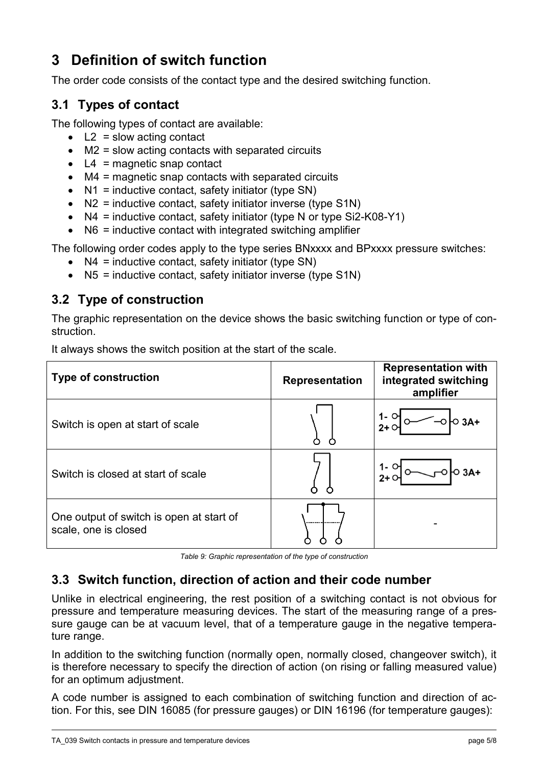# **3 Definition of switch function**

The order code consists of the contact type and the desired switching function.

# **3.1 Types of contact**

The following types of contact are available:

- $\bullet$  L2 = slow acting contact
- $\bullet$  M2 = slow acting contacts with separated circuits
- $\bullet$  L4 = magnetic snap contact
- M4 = magnetic snap contacts with separated circuits
- $\bullet$  N1 = inductive contact, safety initiator (type SN)
- $\bullet$  N2 = inductive contact, safety initiator inverse (type S1N)
- $\bullet$  N4 = inductive contact, safety initiator (type N or type Si2-K08-Y1)
- $\bullet$  N6 = inductive contact with integrated switching amplifier

The following order codes apply to the type series BNxxxx and BPxxxx pressure switches:

- $\bullet$  N4 = inductive contact, safety initiator (type SN)
- N5 = inductive contact, safety initiator inverse (type S1N)

# <span id="page-4-0"></span>**3.2 Type of construction**

The graphic representation on the device shows the basic switching function or type of construction.

| <b>Type of construction</b>                                      | <b>Representation</b> | <b>Representation with</b><br>integrated switching<br>amplifier |
|------------------------------------------------------------------|-----------------------|-----------------------------------------------------------------|
| Switch is open at start of scale                                 |                       |                                                                 |
| Switch is closed at start of scale                               |                       |                                                                 |
| One output of switch is open at start of<br>scale, one is closed |                       |                                                                 |

It always shows the switch position at the start of the scale.

*Table 9: Graphic representation of the type of construction*

# **3.3 Switch function, direction of action and their code number**

Unlike in electrical engineering, the rest position of a switching contact is not obvious for pressure and temperature measuring devices. The start of the measuring range of a pressure gauge can be at vacuum level, that of a temperature gauge in the negative temperature range.

In addition to the switching function (normally open, normally closed, changeover switch), it is therefore necessary to specify the direction of action (on rising or falling measured value) for an optimum adjustment.

A code number is assigned to each combination of switching function and direction of action. For this, see DIN 16085 (for pressure gauges) or DIN 16196 (for temperature gauges):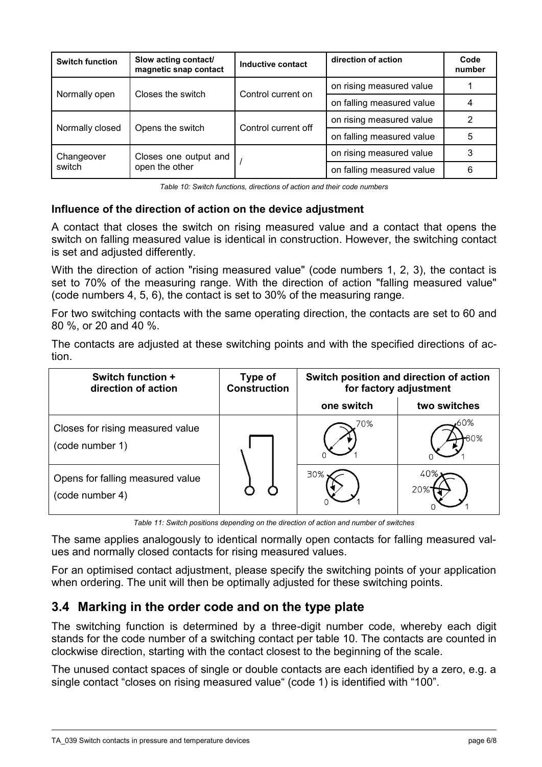| <b>Switch function</b> | Slow acting contact/<br>magnetic snap contact | Inductive contact   | direction of action       | Code<br>number |
|------------------------|-----------------------------------------------|---------------------|---------------------------|----------------|
|                        | Closes the switch                             |                     | on rising measured value  |                |
| Normally open          |                                               | Control current on  | on falling measured value |                |
|                        |                                               | Control current off | on rising measured value  | 2              |
| Normally closed        | Opens the switch                              |                     | on falling measured value | 5              |
| Changeover             | Closes one output and<br>open the other       |                     | on rising measured value  | 3              |
| switch                 |                                               |                     | on falling measured value | 6              |

*Table 10: Switch functions, directions of action and their code numbers*

#### **Influence of the direction of action on the device adjustment**

A contact that closes the switch on rising measured value and a contact that opens the switch on falling measured value is identical in construction. However, the switching contact is set and adjusted differently.

With the direction of action "rising measured value" (code numbers 1, 2, 3), the contact is set to 70% of the measuring range. With the direction of action "falling measured value" (code numbers 4, 5, 6), the contact is set to 30% of the measuring range.

For two switching contacts with the same operating direction, the contacts are set to 60 and 80 %, or 20 and 40 %.

The contacts are adjusted at these switching points and with the specified directions of action.

| Switch function +<br>direction of action            | Type of<br><b>Construction</b> |            | Switch position and direction of action<br>for factory adjustment |
|-----------------------------------------------------|--------------------------------|------------|-------------------------------------------------------------------|
|                                                     |                                | one switch | two switches                                                      |
| Closes for rising measured value<br>(code number 1) |                                | 70%        | 60%<br>.80%                                                       |
| Opens for falling measured value<br>(code number 4) |                                | 30%        |                                                                   |

*Table 11: Switch positions depending on the direction of action and number of switches*

The same applies analogously to identical normally open contacts for falling measured values and normally closed contacts for rising measured values.

For an optimised contact adjustment, please specify the switching points of your application when ordering. The unit will then be optimally adjusted for these switching points.

# **3.4 Marking in the order code and on the type plate**

The switching function is determined by a three-digit number code, whereby each digit stands for the code number of a switching contact per table 10. The contacts are counted in clockwise direction, starting with the contact closest to the beginning of the scale.

The unused contact spaces of single or double contacts are each identified by a zero, e.g. a single contact "closes on rising measured value" (code 1) is identified with "100".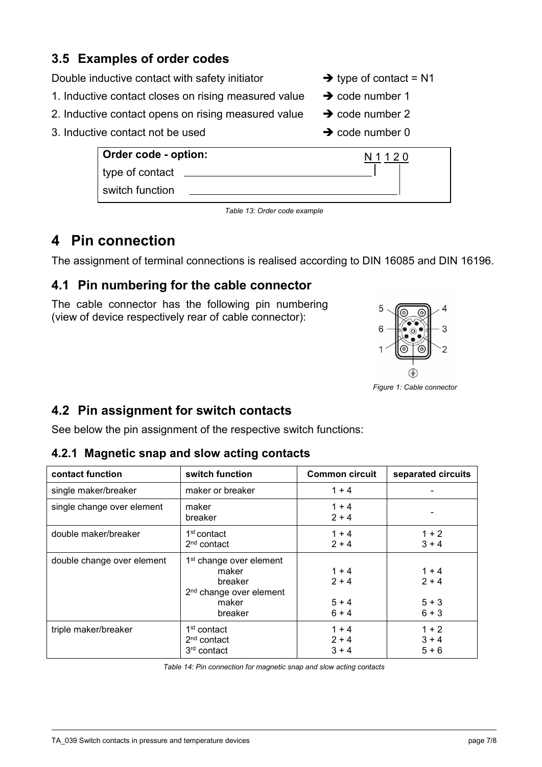# **3.5 Examples of order codes**

- Double inductive contact with safety initiator  $\rightarrow$  type of contact = N1
- 1. Inductive contact closes on rising measured value  $\rightarrow$  code number 1
- 2. Inductive contact opens on rising measured value  $\rightarrow$  code number 2
- 3. Inductive contact not be used  $\rightarrow$  code number 0
- 
- 
- -

| Order code - option: | N 1 1 2 0 |
|----------------------|-----------|
| type of contact      |           |
| switch function      |           |

*Table 13: Order code example*

# **4 Pin connection**

The assignment of terminal connections is realised according to DIN 16085 and DIN 16196.

# **4.1 Pin numbering for the cable connector**

The cable connector has the following pin numbering (view of device respectively rear of cable connector):



*Figure 1: Cable connector*

# **4.2 Pin assignment for switch contacts**

See below the pin assignment of the respective switch functions:

### **4.2.1 Magnetic snap and slow acting contacts**

| contact function           | switch function                                                                                                    | <b>Common circuit</b>                    | separated circuits                       |
|----------------------------|--------------------------------------------------------------------------------------------------------------------|------------------------------------------|------------------------------------------|
| single maker/breaker       | maker or breaker                                                                                                   | $1 + 4$                                  |                                          |
| single change over element | maker<br>breaker                                                                                                   | $1 + 4$<br>$2 + 4$                       |                                          |
| double maker/breaker       | 1 <sup>st</sup> contact<br>$2nd$ contact                                                                           | $1 + 4$<br>$2 + 4$                       | $1 + 2$<br>$3 + 4$                       |
| double change over element | 1 <sup>st</sup> change over element<br>maker<br>breaker<br>2 <sup>nd</sup> change over element<br>maker<br>breaker | $1 + 4$<br>$2 + 4$<br>$5 + 4$<br>$6 + 4$ | $1 + 4$<br>$2 + 4$<br>$5 + 3$<br>$6 + 3$ |
| triple maker/breaker       | 1 <sup>st</sup> contact<br>$2nd$ contact<br>3 <sup>rd</sup> contact                                                | $1 + 4$<br>$2 + 4$<br>$3 + 4$            | $1 + 2$<br>$3 + 4$<br>$5 + 6$            |

*Table 14: Pin connection for magnetic snap and slow acting contacts*